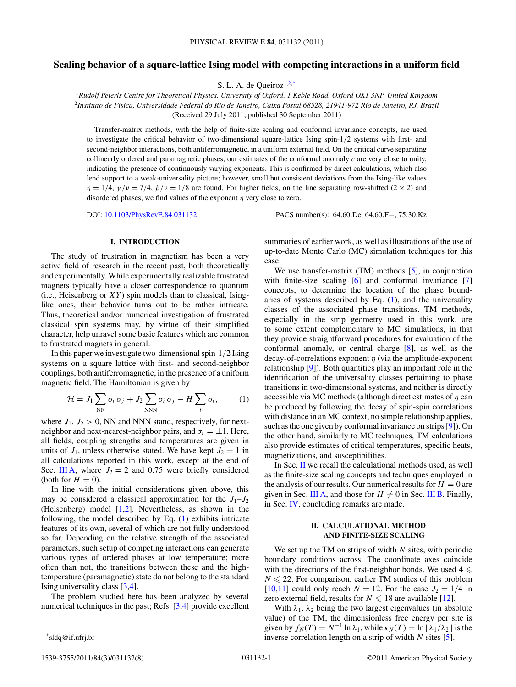# <span id="page-0-0"></span>**Scaling behavior of a square-lattice Ising model with competing interactions in a uniform field**

S. L. A. de Queiroz $1,2,3$ 

<sup>1</sup>*Rudolf Peierls Centre for Theoretical Physics, University of Oxford, 1 Keble Road, Oxford OX1 3NP, United Kingdom* <sup>2</sup>*Instituto de F´ısica, Universidade Federal do Rio de Janeiro, Caixa Postal 68528, 21941-972 Rio de Janeiro, RJ, Brazil* (Received 29 July 2011; published 30 September 2011)

Transfer-matrix methods, with the help of finite-size scaling and conformal invariance concepts, are used to investigate the critical behavior of two-dimensional square-lattice Ising spin-1*/*2 systems with first- and second-neighbor interactions, both antiferromagnetic, in a uniform external field. On the critical curve separating collinearly ordered and paramagnetic phases, our estimates of the conformal anomaly *c* are very close to unity, indicating the presence of continuously varying exponents. This is confirmed by direct calculations, which also lend support to a weak-universality picture; however, small but consistent deviations from the Ising-like values *η* = 1/4,  $\gamma/\nu$  = 7/4,  $\beta/\nu$  = 1/8 are found. For higher fields, on the line separating row-shifted (2 × 2) and disordered phases, we find values of the exponent *η* very close to zero.

DOI: [10.1103/PhysRevE.84.031132](http://dx.doi.org/10.1103/PhysRevE.84.031132) PACS number(s): 64*.*60*.*De, 64*.*60*.*F−, 75*.*30*.*Kz

## **I. INTRODUCTION**

The study of frustration in magnetism has been a very active field of research in the recent past, both theoretically and experimentally. While experimentally realizable frustrated magnets typically have a closer correspondence to quantum (i.e., Heisenberg or  $XY$ ) spin models than to classical, Isinglike ones, their behavior turns out to be rather intricate. Thus, theoretical and/or numerical investigation of frustrated classical spin systems may, by virtue of their simplified character, help unravel some basic features which are common to frustrated magnets in general.

In this paper we investigate two-dimensional spin-1*/*2 Ising systems on a square lattice with first- and second-neighbor couplings, both antiferromagnetic, in the presence of a uniform magnetic field. The Hamiltonian is given by

$$
\mathcal{H} = J_1 \sum_{\text{NN}} \sigma_i \, \sigma_j + J_2 \sum_{\text{NNN}} \sigma_i \, \sigma_j - H \sum_i \sigma_i, \tag{1}
$$

where  $J_1$ ,  $J_2 > 0$ , NN and NNN stand, respectively, for nextneighbor and next-nearest-neighbor pairs, and  $\sigma_i = \pm 1$ . Here, all fields, coupling strengths and temperatures are given in units of  $J_1$ , unless otherwise stated. We have kept  $J_2 = 1$  in all calculations reported in this work, except at the end of Sec. [III A,](#page-2-0) where  $J_2 = 2$  and 0.75 were briefly considered (both for  $H = 0$ ).

In line with the initial considerations given above, this may be considered a classical approximation for the  $J_1-J_2$ (Heisenberg) model [\[1,2\]](#page-7-0). Nevertheless, as shown in the following, the model described by Eq. (1) exhibits intricate features of its own, several of which are not fully understood so far. Depending on the relative strength of the associated parameters, such setup of competing interactions can generate various types of ordered phases at low temperature; more often than not, the transitions between these and the hightemperature (paramagnetic) state do not belong to the standard Ising universality class [\[3,4\]](#page-7-0).

The problem studied here has been analyzed by several numerical techniques in the past; Refs. [\[3,4\]](#page-7-0) provide excellent summaries of earlier work, as well as illustrations of the use of up-to-date Monte Carlo (MC) simulation techniques for this case.

We use transfer-matrix (TM) methods [\[5\]](#page-7-0), in conjunction with finite-size scaling [\[6\]](#page-7-0) and conformal invariance [\[7\]](#page-7-0) concepts, to determine the location of the phase boundaries of systems described by Eq.  $(1)$ , and the universality classes of the associated phase transitions. TM methods, especially in the strip geometry used in this work, are to some extent complementary to MC simulations, in that they provide straightforward procedures for evaluation of the conformal anomaly, or central charge [\[8\]](#page-7-0), as well as the decay-of-correlations exponent *η* (via the amplitude-exponent relationship [\[9\]](#page-7-0)). Both quantities play an important role in the identification of the universality classes pertaining to phase transitions in two-dimensional systems, and neither is directly accessible via MC methods (although direct estimates of *η* can be produced by following the decay of spin-spin correlations with distance in an MC context, no simple relationship applies, such as the one given by conformal invariance on strips [\[9\]](#page-7-0)). On the other hand, similarly to MC techniques, TM calculations also provide estimates of critical temperatures, specific heats, magnetizations, and susceptibilities.

In Sec. II we recall the calculational methods used, as well as the finite-size scaling concepts and techniques employed in the analysis of our results. Our numerical results for  $H = 0$  are given in Sec. [III A,](#page-2-0) and those for  $H \neq 0$  in Sec. [III B.](#page-3-0) Finally, in Sec. [IV,](#page-6-0) concluding remarks are made.

## **II. CALCULATIONAL METHOD AND FINITE-SIZE SCALING**

We set up the TM on strips of width *N* sites, with periodic boundary conditions across. The coordinate axes coincide with the directions of the first-neighbor bonds. We used  $4 \leq$  $N \leq 22$ . For comparison, earlier TM studies of this problem  $[10,11]$  could only reach  $N = 12$ . For the case  $J_2 = 1/4$  in zero external field, results for  $N \leq 18$  are available [\[12\]](#page-7-0).

With  $\lambda_1$ ,  $\lambda_2$  being the two largest eigenvalues (in absolute value) of the TM, the dimensionless free energy per site is given by  $f_N(T) = N^{-1} \ln \lambda_1$ , while  $\kappa_N(T) = \ln |\lambda_1/\lambda_2|$  is the inverse correlation length on a strip of width *N* sites [\[5\]](#page-7-0).

<sup>\*</sup>sldq@if.ufrj.br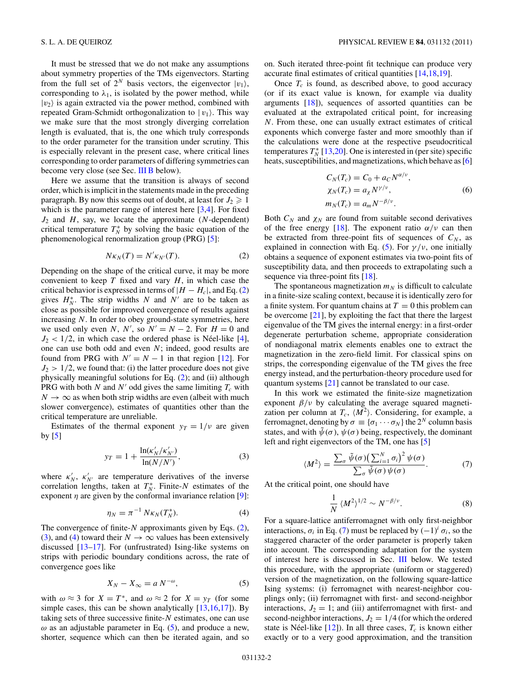<span id="page-1-0"></span>It must be stressed that we do not make any assumptions about symmetry properties of the TMs eigenvectors. Starting from the full set of  $2^N$  basis vectors, the eigenvector  $|v_1\rangle$ , corresponding to  $\lambda_1$ , is isolated by the power method, while  $|v_2\rangle$  is again extracted via the power method, combined with repeated Gram-Schmidt orthogonalization to  $|v_1\rangle$ . This way we make sure that the most strongly diverging correlation length is evaluated, that is, the one which truly corresponds to the order parameter for the transition under scrutiny. This is especially relevant in the present case, where critical lines corresponding to order parameters of differing symmetries can become very close (see Sec. [III B](#page-3-0) below).

Here we assume that the transition is always of second order, which is implicit in the statements made in the preceding paragraph. By now this seems out of doubt, at least for  $J_2 \geq 1$ which is the parameter range of interest here  $[3,4]$ . For fixed *J*<sup>2</sup> and *H*, say, we locate the approximate (*N*-dependent) critical temperature  $T_N^*$  by solving the basic equation of the phenomenological renormalization group (PRG) [\[5\]](#page-7-0):

$$
N\kappa_N(T) = N'\kappa_{N'}(T). \tag{2}
$$

Depending on the shape of the critical curve, it may be more convenient to keep  $T$  fixed and vary  $H$ , in which case the critical behavior is expressed in terms of  $|H - H_c|$ , and Eq. (2) gives  $H_N^*$ . The strip widths *N* and *N'* are to be taken as close as possible for improved convergence of results against increasing *N*. In order to obey ground-state symmetries, here we used only even *N*, *N'*, so  $N' = N - 2$ . For  $H = 0$  and  $J_2$  < 1/2, in which case the ordered phase is Néel-like [[4\]](#page-7-0), one can use both odd and even *N*; indeed, good results are found from PRG with  $N' = N - 1$  in that region [\[12\]](#page-7-0). For  $J_2$  > 1/2, we found that: (i) the latter procedure does not give physically meaningful solutions for Eq.  $(2)$ ; and  $(ii)$  although PRG with both  $N$  and  $N'$  odd gives the same limiting  $T_c$  with  $N \to \infty$  as when both strip widths are even (albeit with much slower convergence), estimates of quantities other than the critical temperature are unreliable.

Estimates of the thermal exponent  $y_T = 1/v$  are given by [\[5\]](#page-7-0)

$$
y_T = 1 + \frac{\ln(\kappa_N'/\kappa_{N'}')}{\ln(N/N')},
$$
\n(3)

where  $\kappa'_{N}$ ,  $\kappa'_{N'}$  are temperature derivatives of the inverse correlation lengths, taken at  $T_N^*$ . Finite- $N$  estimates of the exponent  $\eta$  are given by the conformal invariance relation [\[9\]](#page-7-0):

$$
\eta_N = \pi^{-1} N \kappa_N(T_N^*). \tag{4}
$$

The convergence of finite-*N* approximants given by Eqs. (2), (3), and (4) toward their  $N \to \infty$  values has been extensively discussed [\[13–17\]](#page-7-0). For (unfrustrated) Ising-like systems on strips with periodic boundary conditions across, the rate of convergence goes like

$$
X_N - X_\infty = a N^{-\omega},\tag{5}
$$

with  $\omega \approx 3$  for  $X = T^*$ , and  $\omega \approx 2$  for  $X = y_T$  (for some simple cases, this can be shown analytically [\[13,16,17\]](#page-7-0)). By taking sets of three successive finite-*N* estimates, one can use  $\omega$  as an adjustable parameter in Eq. (5), and produce a new, shorter, sequence which can then be iterated again, and so on. Such iterated three-point fit technique can produce very accurate final estimates of critical quantities [\[14,18,19\]](#page-7-0).

Once  $T_c$  is found, as described above, to good accuracy (or if its exact value is known, for example via duality arguments  $[18]$ ), sequences of assorted quantities can be evaluated at the extrapolated critical point, for increasing *N*. From these, one can usually extract estimates of critical exponents which converge faster and more smoothly than if the calculations were done at the respective pseudocritical temperatures  $T_N^*$  [\[13,20\]](#page-7-0). One is interested in (per site) specific heats, susceptibilities, and magnetizations, which behave as [\[6\]](#page-7-0)

$$
C_N(T_c) = C_0 + a_C N^{\alpha/\nu},
$$
  
\n
$$
\chi_N(T_c) = a_\chi N^{\gamma/\nu},
$$
  
\n
$$
m_N(T_c) = a_m N^{-\beta/\nu}.
$$
\n(6)

Both  $C_N$  and  $\chi_N$  are found from suitable second derivatives of the free energy [\[18\]](#page-7-0). The exponent ratio  $\alpha/\nu$  can then be extracted from three-point fits of sequences of  $C_N$ , as explained in connection with Eq. (5). For  $\gamma/\nu$ , one initially obtains a sequence of exponent estimates via two-point fits of susceptibility data, and then proceeds to extrapolating such a sequence via three-point fits [\[18\]](#page-7-0).

The spontaneous magnetization  $m_N$  is difficult to calculate in a finite-size scaling context, because it is identically zero for a finite system. For quantum chains at  $T = 0$  this problem can be overcome [\[21\]](#page-7-0), by exploiting the fact that there the largest eigenvalue of the TM gives the internal energy: in a first-order degenerate perturbation scheme, appropriate consideration of nondiagonal matrix elements enables one to extract the magnetization in the zero-field limit. For classical spins on strips, the corresponding eigenvalue of the TM gives the free energy instead, and the perturbation-theory procedure used for quantum systems [\[21\]](#page-7-0) cannot be translated to our case.

In this work we estimated the finite-size magnetization exponent  $\beta/\nu$  by calculating the average squared magnetization per column at  $T_c$ ,  $\langle M^2 \rangle$ . Considering, for example, a ferromagnet, denoting by  $\sigma \equiv {\sigma_1 \cdots \sigma_N}$  the 2<sup>*N*</sup> column basis states, and with  $\hat{\psi}(\sigma)$ ,  $\psi(\sigma)$  being, respectively, the dominant left and right eigenvectors of the TM, one has [\[5\]](#page-7-0)

$$
\langle M^2 \rangle = \frac{\sum_{\sigma} \tilde{\psi}(\sigma) \left( \sum_{i=1}^N \sigma_i \right)^2 \psi(\sigma)}{\sum_{\sigma} \tilde{\psi}(\sigma) \psi(\sigma)}.
$$
 (7)

At the critical point, one should have

$$
\frac{1}{N} \langle M^2 \rangle^{1/2} \sim N^{-\beta/\nu}.
$$
 (8)

For a square-lattice antiferromagnet with only first-neighbor interactions,  $\sigma_i$  in Eq. (7) must be replaced by  $(-1)^i \sigma_i$ , so the staggered character of the order parameter is properly taken into account. The corresponding adaptation for the system of interest here is discussed in Sec. [III](#page-2-0) below. We tested this procedure, with the appropriate (uniform or staggered) version of the magnetization, on the following square-lattice Ising systems: (i) ferromagnet with nearest-neighbor couplings only; (ii) ferromagnet with first- and second-neighbor interactions,  $J_2 = 1$ ; and (iii) antiferromagnet with first- and second-neighbor interactions,  $J_2 = 1/4$  (for which the ordered state is Néel-like  $[12]$  $[12]$ ). In all three cases,  $T_c$  is known either exactly or to a very good approximation, and the transition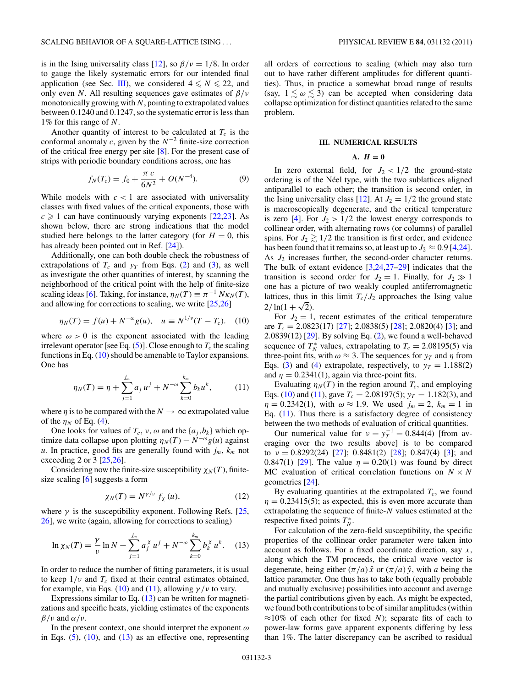<span id="page-2-0"></span>is in the Ising universality class [\[12\]](#page-7-0), so  $\beta/\nu = 1/8$ . In order to gauge the likely systematic errors for our intended final application (see Sec. III), we considered  $4 \le N \le 22$ , and only even *N*. All resulting sequences gave estimates of *β/ν* monotonically growing with *N*, pointing to extrapolated values between 0*.*1240 and 0*.*1247, so the systematic error is less than 1% for this range of *N*.

Another quantity of interest to be calculated at  $T_c$  is the conformal anomaly *c*, given by the *N*<sup>−</sup><sup>2</sup> finite-size correction of the critical free energy per site  $[8]$ . For the present case of strips with periodic boundary conditions across, one has

$$
f_N(T_c) = f_0 + \frac{\pi c}{6N^2} + O(N^{-4}).
$$
 (9)

While models with  $c < 1$  are associated with universality classes with fixed values of the critical exponents, those with  $c \geq 1$  can have continuously varying exponents [\[22,23\]](#page-7-0). As shown below, there are strong indications that the model studied here belongs to the latter category (for  $H = 0$ , this has already been pointed out in Ref. [\[24\]](#page-7-0)).

Additionally, one can both double check the robustness of extrapolations of  $T_c$  and  $y_T$  from Eqs. [\(2\)](#page-1-0) and [\(3\)](#page-1-0), as well as investigate the other quantities of interest, by scanning the neighborhood of the critical point with the help of finite-size scaling ideas [\[6\]](#page-7-0). Taking, for instance,  $\eta_N(T) \equiv \pi^{-1} N \kappa_N(T)$ , and allowing for corrections to scaling, we write [\[25,26\]](#page-7-0)

$$
\eta_N(T) = f(u) + N^{-\omega} g(u), \quad u \equiv N^{1/\nu} (T - T_c). \tag{10}
$$

where  $\omega > 0$  is the exponent associated with the leading irrelevant operator [see Eq.  $(5)$ ]. Close enough to  $T_c$  the scaling functions in Eq. (10) should be amenable to Taylor expansions. One has

$$
\eta_N(T) = \eta + \sum_{j=1}^{j_m} a_j u^j + N^{-\omega} \sum_{k=0}^{k_m} b_k u^k, \quad (11)
$$

where  $\eta$  is to be compared with the  $N \to \infty$  extrapolated value of the  $\eta_N$  of Eq. [\(4\)](#page-1-0).

One looks for values of  $T_c$ ,  $\nu$ ,  $\omega$  and the  $\{a_j, b_k\}$  which optimize data collapse upon plotting  $\eta_N(T) - N^{-\omega}g(u)$  against *u*. In practice, good fits are generally found with  $j_m$ ,  $k_m$  not exceeding 2 or 3  $[25,26]$ .

Considering now the finite-size susceptibility  $\chi_N(T)$ , finitesize scaling [\[6\]](#page-7-0) suggests a form

$$
\chi_N(T) = N^{\gamma/\nu} f_\chi(u),\tag{12}
$$

where  $\gamma$  is the susceptibility exponent. Following Refs. [\[25,](#page-7-0) [26\]](#page-7-0), we write (again, allowing for corrections to scaling)

$$
\ln \chi_N(T) = \frac{\gamma}{\nu} \ln N + \sum_{j=1}^{j_m} a_j^{\chi} u^j + N^{-\omega} \sum_{k=0}^{k_m} b_k^{\chi} u^k. \tag{13}
$$

In order to reduce the number of fitting parameters, it is usual to keep  $1/\nu$  and  $T_c$  fixed at their central estimates obtained, for example, via Eqs. (10) and (11), allowing  $\gamma/\nu$  to vary.

Expressions similar to Eq. (13) can be written for magnetizations and specific heats, yielding estimates of the exponents *β/ν* and *α/ν*.

In the present context, one should interpret the exponent *ω* in Eqs.  $(5)$ ,  $(10)$ , and  $(13)$  as an effective one, representing all orders of corrections to scaling (which may also turn out to have rather different amplitudes for different quantities). Thus, in practice a somewhat broad range of results (say,  $1 \leq \omega \leq 3$ ) can be accepted when considering data collapse optimization for distinct quantities related to the same problem.

## **III. NUMERICAL RESULTS**

#### A.  $H = 0$

In zero external field, for  $J_2 < 1/2$  the ground-state ordering is of the Néel type, with the two sublattices aligned antiparallel to each other; the transition is second order, in the Ising universality class [\[12\]](#page-7-0). At  $J_2 = 1/2$  the ground state is macroscopically degenerate, and the critical temperature is zero [\[4\]](#page-7-0). For  $J_2 > 1/2$  the lowest energy corresponds to collinear order, with alternating rows (or columns) of parallel spins. For  $J_2 \gtrsim 1/2$  the transition is first order, and evidence has been found that it remains so, at least up to  $J_2 \approx 0.9$  [\[4,24\]](#page-7-0). As *J*<sup>2</sup> increases further, the second-order character returns. The bulk of extant evidence [\[3,24,27–29\]](#page-7-0) indicates that the transition is second order for  $J_2 = 1$ . Finally, for  $J_2 \gg 1$ one has a picture of two weakly coupled antiferromagnetic lattices, thus in this limit  $T_c/J_2$  approaches the Ising value  $2/\ln(1+\sqrt{2})$ .

For  $J_2 = 1$ , recent estimates of the critical temperature are *Tc* = 2*.*0823(17) [\[27\]](#page-7-0); 2*.*0838(5) [\[28\]](#page-7-0); 2*.*0820(4) [\[3\]](#page-7-0); and 2*.*0839(12) [\[29\]](#page-7-0). By solving Eq. [\(2\)](#page-1-0), we found a well-behaved sequence of  $T_N^*$  values, extrapolating to  $T_c = 2.08195(5)$  via three-point fits, with  $\omega \approx 3$ . The sequences for  $y_T$  and  $\eta$  from Eqs. [\(3\)](#page-1-0) and [\(4\)](#page-1-0) extrapolate, respectively, to  $y_T = 1.188(2)$ and  $\eta = 0.2341(1)$ , again via three-point fits.

Evaluating  $\eta_N(T)$  in the region around  $T_c$ , and employing Eqs. (10) and (11), gave  $T_c = 2.08197(5)$ ;  $y_T = 1.182(3)$ , and  $\eta = 0.2342(1)$ , with  $\omega \approx 1.9$ . We used  $j_m = 2$ ,  $k_m = 1$  in Eq.  $(11)$ . Thus there is a satisfactory degree of consistency between the two methods of evaluation of critical quantities.

Our numerical value for  $v = y_T^{-1} = 0.844(4)$  [from averaging over the two results above] is to be compared to *ν* = 0*.*8292(24) [\[27\]](#page-7-0); 0*.*8481(2) [\[28\]](#page-7-0); 0*.*847(4) [\[3\]](#page-7-0); and 0.847(1) [\[29\]](#page-7-0). The value  $\eta = 0.20(1)$  was found by direct MC evaluation of critical correlation functions on  $N \times N$ geometries [\[24\]](#page-7-0).

By evaluating quantities at the extrapolated  $T_c$ , we found  $\eta = 0.23415(5)$ ; as expected, this is even more accurate than extrapolating the sequence of finite-*N* values estimated at the respective fixed points  $T_N^*$ .

For calculation of the zero-field susceptibility, the specific properties of the collinear order parameter were taken into account as follows. For a fixed coordinate direction, say *x*, along which the TM proceeds, the critical wave vector is degenerate, being either  $(\pi/a) \hat{x}$  or  $(\pi/a) \hat{y}$ , with *a* being the lattice parameter. One thus has to take both (equally probable and mutually exclusive) possibilities into account and average the partial contributions given by each. As might be expected, we found both contributions to be of similar amplitudes (within  $\approx$ 10% of each other for fixed *N*); separate fits of each to power-law forms gave apparent exponents differing by less than 1%. The latter discrepancy can be ascribed to residual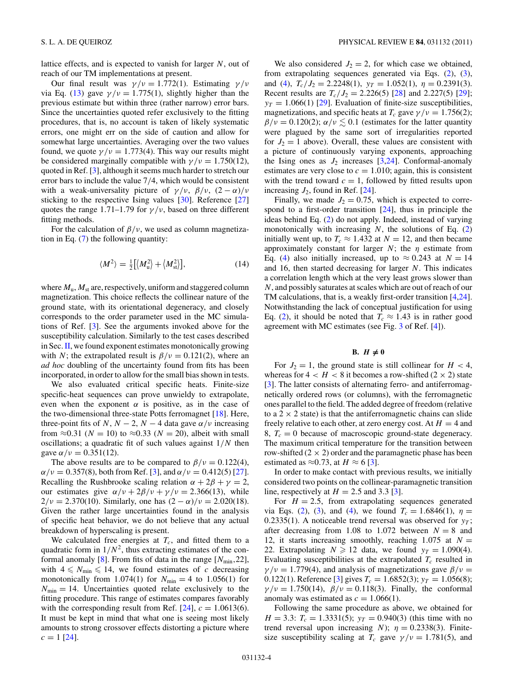<span id="page-3-0"></span>lattice effects, and is expected to vanish for larger *N*, out of reach of our TM implementations at present.

Our final result was *γ/ν* = 1*.*772(1). Estimating *γ/ν* via Eq. [\(13\)](#page-2-0) gave  $\gamma/\nu = 1.775(1)$ , slightly higher than the previous estimate but within three (rather narrow) error bars. Since the uncertainties quoted refer exclusively to the fitting procedures, that is, no account is taken of likely systematic errors, one might err on the side of caution and allow for somewhat large uncertainties. Averaging over the two values found, we quote  $\gamma/\nu = 1.773(4)$ . This way our results might be considered marginally compatible with  $\gamma/\nu = 1.750(12)$ , quoted in Ref. [\[3\]](#page-7-0), although it seems much harder to stretch our error bars to include the value 7*/*4, which would be consistent with a weak-universality picture of  $\gamma/\nu$ ,  $\beta/\nu$ ,  $(2-\alpha)/\nu$ sticking to the respective Ising values [\[30\]](#page-7-0). Reference [\[27\]](#page-7-0) quotes the range 1.71–1.79 for  $\gamma/\nu$ , based on three different fitting methods.

For the calculation of  $\beta/\nu$ , we used as column magnetization in Eq. [\(7\)](#page-1-0) the following quantity:

$$
\langle M^2 \rangle = \frac{1}{2} \left[ \langle M_u^2 \rangle + \langle M_{\rm st}^2 \rangle \right],\tag{14}
$$

where  $M_u$ ,  $M_{st}$  are, respectively, uniform and staggered column magnetization. This choice reflects the collinear nature of the ground state, with its orientational degeneracy, and closely corresponds to the order parameter used in the MC simulations of Ref. [\[3\]](#page-7-0). See the arguments invoked above for the susceptibility calculation. Similarly to the test cases described in Sec.  $II$ , we found exponent estimates monotonically growing with *N*; the extrapolated result is  $\beta/\nu = 0.121(2)$ , where an *ad hoc* doubling of the uncertainty found from fits has been incorporated, in order to allow for the small bias shown in tests.

We also evaluated critical specific heats. Finite-size specific-heat sequences can prove unwieldy to extrapolate, even when the exponent  $\alpha$  is positive, as in the case of the two-dimensional three-state Potts ferromagnet [\[18\]](#page-7-0). Here, three-point fits of *N*,  $N - 2$ ,  $N - 4$  data gave  $\alpha/\nu$  increasing from  $\approx 0.31$  ( $N = 10$ ) to  $\approx 0.33$  ( $N = 20$ ), albeit with small oscillations; a quadratic fit of such values against 1*/N* then gave  $\alpha/\nu = 0.351(12)$ .

The above results are to be compared to  $\beta/\nu = 0.122(4)$ ,  $\alpha/\nu = 0.357(8)$ , both from Ref. [\[3\]](#page-7-0), and  $\alpha/\nu = 0.412(5)$  [\[27\]](#page-7-0). Recalling the Rushbrooke scaling relation  $\alpha + 2\beta + \gamma = 2$ , our estimates give  $\alpha/\nu + 2\beta/\nu + \gamma/\nu = 2.366(13)$ , while  $2/\nu = 2.370(10)$ . Similarly, one has  $(2 - \alpha)/\nu = 2.020(18)$ . Given the rather large uncertainties found in the analysis of specific heat behavior, we do not believe that any actual breakdown of hyperscaling is present.

We calculated free energies at  $T_c$ , and fitted them to a quadratic form in  $1/N^2$ , thus extracting estimates of the conformal anomaly  $[8]$ . From fits of data in the range  $[N_{\min}, 22]$ , with  $4 \leq N_{\text{min}} \leq 14$ , we found estimates of *c* decreasing monotonically from 1.074(1) for  $N_{\text{min}} = 4$  to 1.056(1) for  $N_{\text{min}} = 14$ . Uncertainties quoted relate exclusively to the fitting procedure. This range of estimates compares favorably with the corresponding result from Ref.  $[24]$ ,  $c = 1.0613(6)$ . It must be kept in mind that what one is seeing most likely amounts to strong crossover effects distorting a picture where  $c = 1$  [\[24\]](#page-7-0).

We also considered  $J_2 = 2$ , for which case we obtained, from extrapolating sequences generated via Eqs. [\(2\)](#page-1-0), [\(3\)](#page-1-0), and [\(4\)](#page-1-0),  $T_c/J_2 = 2.2248(1)$ ,  $y_T = 1.052(1)$ ,  $\eta = 0.2391(3)$ . Recent results are  $T_c/J_2 = 2.226(5)$  [\[28\]](#page-7-0) and 2.227(5) [\[29\]](#page-7-0);  $y_T = 1.066(1)$  [\[29\]](#page-7-0). Evaluation of finite-size susceptibilities, magnetizations, and specific heats at  $T_c$  gave  $\gamma/\nu = 1.756(2)$ ;  $\beta/\nu = 0.120(2)$ ;  $\alpha/\nu \lesssim 0.1$  (estimates for the latter quantity were plagued by the same sort of irregularities reported for  $J_2 = 1$  above). Overall, these values are consistent with a picture of continuously varying exponents, approaching the Ising ones as  $J_2$  increases [\[3,24\]](#page-7-0). Conformal-anomaly estimates are very close to  $c = 1.010$ ; again, this is consistent with the trend toward  $c = 1$ , followed by fitted results upon increasing  $J_2$ , found in Ref. [\[24\]](#page-7-0).

Finally, we made  $J_2 = 0.75$ , which is expected to correspond to a first-order transition [\[24\]](#page-7-0), thus in principle the ideas behind Eq. [\(2\)](#page-1-0) do not apply. Indeed, instead of varying monotonically with increasing *N*, the solutions of Eq. [\(2\)](#page-1-0) initially went up, to  $T_c \approx 1.432$  at  $N = 12$ , and then became approximately constant for larger *N*; the *η* estimate from Eq. [\(4\)](#page-1-0) also initially increased, up to  $\approx 0.243$  at  $N = 14$ and 16, then started decreasing for larger *N*. This indicates a correlation length which at the very least grows slower than *N*, and possibly saturates at scales which are out of reach of our TM calculations, that is, a weakly first-order transition [\[4,24\]](#page-7-0). Notwithstanding the lack of conceptual justification for using Eq. [\(2\)](#page-1-0), it should be noted that  $T_c \approx 1.43$  is in rather good agreement with MC estimates (see Fig. [3](#page-5-0) of Ref. [\[4\]](#page-7-0)).

# B.  $H \neq 0$

For  $J_2 = 1$ , the ground state is still collinear for  $H < 4$ , whereas for  $4 < H < 8$  it becomes a row-shifted  $(2 \times 2)$  state [\[3\]](#page-7-0). The latter consists of alternating ferro- and antiferromagnetically ordered rows (or columns), with the ferromagnetic ones parallel to the field. The added degree of freedom (relative to a  $2 \times 2$  state) is that the antiferromagnetic chains can slide freely relative to each other, at zero energy cost. At  $H = 4$  and 8,  $T_c = 0$  because of macroscopic ground-state degeneracy. The maximum critical temperature for the transition between row-shifted  $(2 \times 2)$  order and the paramagnetic phase has been estimated as  $\approx 0.73$ , at  $H \approx 6$  [\[3\]](#page-7-0).

In order to make contact with previous results, we initially considered two points on the collinear-paramagnetic transition line, respectively at  $H = 2.5$  and 3.3 [\[3\]](#page-7-0).

For  $H = 2.5$ , from extrapolating sequences generated via Eqs. [\(2\)](#page-1-0), [\(3\)](#page-1-0), and [\(4\)](#page-1-0), we found  $T_c = 1.6846(1)$ ,  $\eta =$ 0.2335(1). A noticeable trend reversal was observed for  $y<sub>T</sub>$ ; after decreasing from 1.08 to 1.072 between  $N = 8$  and 12, it starts increasing smoothly, reaching 1.075 at  $N =$ 22. Extrapolating  $N \ge 12$  data, we found  $y_T = 1.090(4)$ . Evaluating susceptibilities at the extrapolated  $T_c$  resulted in  $\gamma/\nu = 1.779(4)$ , and analysis of magnetizations gave  $\beta/\nu =$ 0.122(1). Reference [\[3\]](#page-7-0) gives  $T_c = 1.6852(3)$ ;  $y_T = 1.056(8)$ ;  $\gamma/\nu = 1.750(14)$ ,  $\beta/\nu = 0.118(3)$ . Finally, the conformal anomaly was estimated as  $c = 1.066(1)$ .

Following the same procedure as above, we obtained for *H* = 3.3:  $T_c$  = 1.3331(5);  $y_T$  = 0.940(3) (this time with no trend reversal upon increasing *N*);  $\eta = 0.2338(3)$ . Finitesize susceptibility scaling at  $T_c$  gave  $\gamma/\nu = 1.781(5)$ , and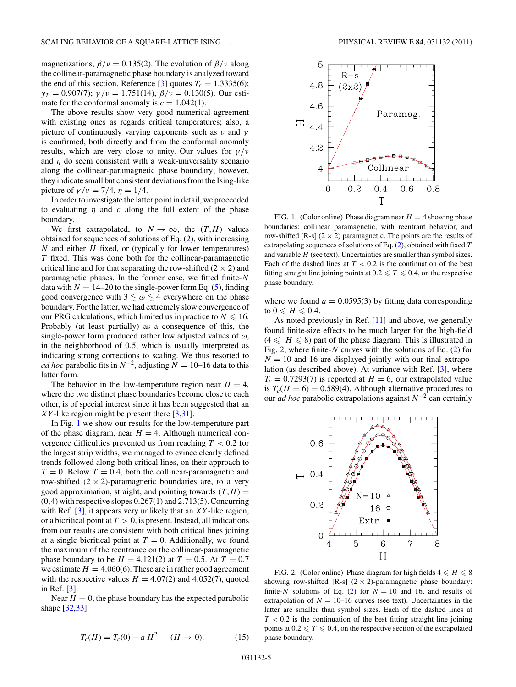<span id="page-4-0"></span>magnetizations,  $\beta/\nu = 0.135(2)$ . The evolution of  $\beta/\nu$  along the collinear-paramagnetic phase boundary is analyzed toward the end of this section. Reference [\[3\]](#page-7-0) quotes  $T_c = 1.3335(6)$ ; *yT* = 0*.*907(7); *γ/ν* = 1*.*751(14), *β/ν* = 0*.*130(5). Our estimate for the conformal anomaly is  $c = 1.042(1)$ .

The above results show very good numerical agreement with existing ones as regards critical temperatures; also, a picture of continuously varying exponents such as *ν* and *γ* is confirmed, both directly and from the conformal anomaly results, which are very close to unity. Our values for *γ/ν* and *η* do seem consistent with a weak-universality scenario along the collinear-paramagnetic phase boundary; however, they indicate small but consistent deviations from the Ising-like picture of  $γ/v = 7/4, η = 1/4.$ 

In order to investigate the latter point in detail, we proceeded to evaluating  $\eta$  and  $c$  along the full extent of the phase boundary.

We first extrapolated, to  $N \to \infty$ , the  $(T,H)$  values obtained for sequences of solutions of Eq. [\(2\)](#page-1-0), with increasing *N* and either *H* fixed, or (typically for lower temperatures) *T* fixed. This was done both for the collinear-paramagnetic critical line and for that separating the row-shifted  $(2 \times 2)$  and paramagnetic phases. In the former case, we fitted finite-*N* data with  $N = 14-20$  to the single-power form Eq. [\(5\)](#page-1-0), finding good convergence with  $3 \lesssim \omega \lesssim 4$  everywhere on the phase boundary. For the latter, we had extremely slow convergence of our PRG calculations, which limited us in practice to  $N \leqslant 16$ . Probably (at least partially) as a consequence of this, the single-power form produced rather low adjusted values of *ω*, in the neighborhood of 0*.*5, which is usually interpreted as indicating strong corrections to scaling. We thus resorted to *ad hoc* parabolic fits in  $N^{-2}$ , adjusting  $N = 10-16$  data to this latter form.

The behavior in the low-temperature region near  $H = 4$ , where the two distinct phase boundaries become close to each other, is of special interest since it has been suggested that an *XY* -like region might be present there [\[3,31\]](#page-7-0).

In Fig. 1 we show our results for the low-temperature part of the phase diagram, near  $H = 4$ . Although numerical convergence difficulties prevented us from reaching *T <* 0*.*2 for the largest strip widths, we managed to evince clearly defined trends followed along both critical lines, on their approach to  $T = 0$ . Below  $T = 0.4$ , both the collinear-paramagnetic and row-shifted  $(2 \times 2)$ -paramagnetic boundaries are, to a very good approximation, straight, and pointing towards  $(T,H)$  = (0*,*4) with respective slopes 0*.*267(1) and 2*.*713(5). Concurring with Ref. [\[3\]](#page-7-0), it appears very unlikely that an *XY*-like region, or a bicritical point at  $T > 0$ , is present. Instead, all indications from our results are consistent with both critical lines joining at a single bicritical point at  $T = 0$ . Additionally, we found the maximum of the reentrance on the collinear-paramagnetic phase boundary to be  $H = 4.121(2)$  at  $T = 0.5$ . At  $T = 0.7$ we estimate  $H = 4.060(6)$ . These are in rather good agreement with the respective values  $H = 4.07(2)$  and  $4.052(7)$ , quoted in Ref. [\[3\]](#page-7-0).

Near  $H = 0$ , the phase boundary has the expected parabolic shape [\[32,33\]](#page-7-0)



FIG. 1. (Color online) Phase diagram near  $H = 4$  showing phase boundaries: collinear paramagnetic, with reentrant behavior, and row-shifted [R-s]  $(2 \times 2)$  paramagnetic. The points are the results of extrapolating sequences of solutions of Eq. [\(2\)](#page-1-0), obtained with fixed *T* and variable *H* (see text). Uncertainties are smaller than symbol sizes. Each of the dashed lines at  $T < 0.2$  is the continuation of the best fitting straight line joining points at  $0.2 \leq T \leq 0.4$ , on the respective phase boundary.

where we found  $a = 0.0595(3)$  by fitting data corresponding to  $0 \leqslant H \leqslant 0.4$ .

As noted previously in Ref. [\[11\]](#page-7-0) and above, we generally found finite-size effects to be much larger for the high-field  $(4 \leq H \leq 8)$  part of the phase diagram. This is illustrated in Fig. 2, where finite-*N* curves with the solutions of Eq. [\(2\)](#page-1-0) for  $N = 10$  and 16 are displayed jointly with our final extrapolation (as described above). At variance with Ref. [\[3\]](#page-7-0), where  $T_c = 0.7293(7)$  is reported at  $H = 6$ , our extrapolated value is  $T_c(H = 6) = 0.589(4)$ . Although alternative procedures to our *ad hoc* parabolic extrapolations against *N*−<sup>2</sup> can certainly



FIG. 2. (Color online) Phase diagram for high fields  $4 \leq H \leq 8$ showing row-shifted [R-s]  $(2 \times 2)$ -paramagnetic phase boundary: finite-*N* solutions of Eq. [\(2\)](#page-1-0) for  $N = 10$  and 16, and results of extrapolation of  $N = 10-16$  curves (see text). Uncertainties in the latter are smaller than symbol sizes. Each of the dashed lines at *T <* 0*.*2 is the continuation of the best fitting straight line joining points at  $0.2 \leqslant T \leqslant 0.4$ , on the respective section of the extrapolated phase boundary.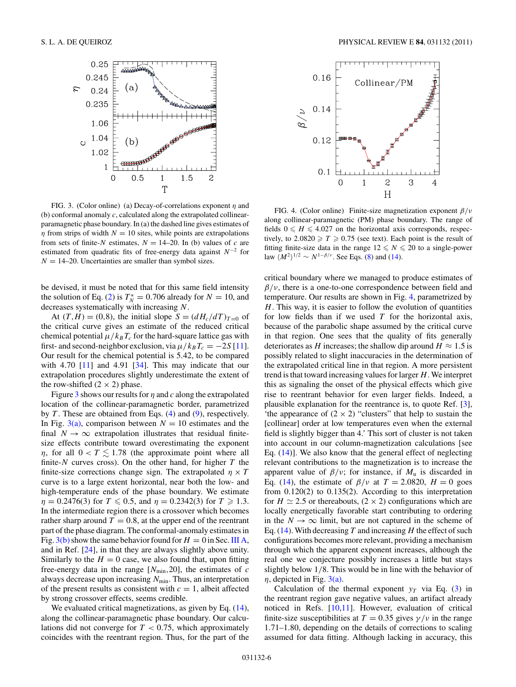<span id="page-5-0"></span>

FIG. 3. (Color online) (a) Decay-of-correlations exponent *η* and (b) conformal anomaly *c*, calculated along the extrapolated collinearparamagnetic phase boundary. In (a) the dashed line gives estimates of *η* from strips of width  $N = 10$  sites, while points are extrapolations from sets of finite-*N* estimates,  $N = 14-20$ . In (b) values of *c* are estimated from quadratic fits of free-energy data against *N*<sup>−</sup><sup>2</sup> for  $N = 14-20$ . Uncertainties are smaller than symbol sizes.

be devised, it must be noted that for this same field intensity the solution of Eq. [\(2\)](#page-1-0) is  $T_N^* = 0.706$  already for  $N = 10$ , and decreases systematically with increasing *N*.

At  $(T, H) = (0, 8)$ , the initial slope  $S = (dH_c/dT)_{T=0}$  of the critical curve gives an estimate of the reduced critical chemical potential  $\mu/k_B T_c$  for the hard-square lattice gas with first- and second-neighbor exclusion, via  $\mu/k_B T_c = -2S[11]$  $\mu/k_B T_c = -2S[11]$ . Our result for the chemical potential is 5*.*42, to be compared with 4*.*70 [\[11\]](#page-7-0) and 4*.*91 [\[34\]](#page-7-0). This may indicate that our extrapolation procedures slightly underestimate the extent of the row-shifted  $(2 \times 2)$  phase.

Figure 3 shows our results for *η* and *c* along the extrapolated location of the collinear-paramagnetic border, parametrized by *T* . These are obtained from Eqs. [\(4\)](#page-1-0) and [\(9\)](#page-2-0), respectively. In Fig. 3(a), comparison between  $N = 10$  estimates and the final  $N \rightarrow \infty$  extrapolation illustrates that residual finitesize effects contribute toward overestimating the exponent *η*, for all  $0 < T \le 1.78$  (the approximate point where all finite-*N* curves cross). On the other hand, for higher *T* the finite-size corrections change sign. The extrapolated  $\eta \times T$ curve is to a large extent horizontal, near both the low- and high-temperature ends of the phase boundary. We estimate  $\eta = 0.2476(3)$  for  $T \le 0.5$ , and  $\eta = 0.2342(3)$  for  $T \ge 1.3$ . In the intermediate region there is a crossover which becomes rather sharp around  $T = 0.8$ , at the upper end of the reentrant part of the phase diagram. The conformal-anomaly estimates in Fig.  $3(b)$  show the same behavior found for  $H = 0$  in Sec. [III A,](#page-2-0) and in Ref. [\[24\]](#page-7-0), in that they are always slightly above unity. Similarly to the  $H = 0$  case, we also found that, upon fitting free-energy data in the range  $[N_{\text{min}}, 20]$ , the estimates of *c* always decrease upon increasing  $N_{\text{min}}$ . Thus, an interpretation of the present results as consistent with  $c = 1$ , albeit affected by strong crossover effects, seems credible.

We evaluated critical magnetizations, as given by Eq.  $(14)$ , along the collinear-paramagnetic phase boundary. Our calculations did not converge for *T <* 0*.*75, which approximately coincides with the reentrant region. Thus, for the part of the



FIG. 4. (Color online) Finite-size magnetization exponent *β/ν* along collinear-paramagnetic (PM) phase boundary. The range of fields  $0 \leq H \leq 4.027$  on the horizontal axis corresponds, respectively, to  $2.0820 \ge T \ge 0.75$  (see text). Each point is the result of fitting finite-size data in the range  $12 \leq N \leq 20$  to a single-power law  $\langle M^2 \rangle^{1/2} \sim N^{1-\beta/\nu}$ . See Eqs. [\(8\)](#page-1-0) and [\(14\)](#page-3-0).

critical boundary where we managed to produce estimates of *β/ν*, there is a one-to-one correspondence between field and temperature. Our results are shown in Fig. 4, parametrized by *H*. This way, it is easier to follow the evolution of quantities for low fields than if we used *T* for the horizontal axis, because of the parabolic shape assumed by the critical curve in that region. One sees that the quality of fits generally deteriorates as *H* increases; the shallow dip around  $H \approx 1.5$  is possibly related to slight inaccuracies in the determination of the extrapolated critical line in that region. A more persistent trend is that toward increasing values for larger *H*. We interpret this as signaling the onset of the physical effects which give rise to reentrant behavior for even larger fields. Indeed, a plausible explanation for the reentrance is, to quote Ref. [\[3\]](#page-7-0), 'the appearance of  $(2 \times 2)$  "clusters" that help to sustain the [collinear] order at low temperatures even when the external field is slightly bigger than 4.' This sort of cluster is not taken into account in our column-magnetization calculations [see Eq. [\(14\)](#page-3-0)]. We also know that the general effect of neglecting relevant contributions to the magnetization is to increase the apparent value of  $\beta/\nu$ ; for instance, if  $M_{\rm u}$  is discarded in Eq. [\(14\)](#page-3-0), the estimate of  $\beta/\nu$  at  $T = 2.0820$ ,  $H = 0$  goes from 0*.*120(2) to 0*.*135(2). According to this interpretation for  $H \simeq 2.5$  or thereabouts,  $(2 \times 2)$  configurations which are locally energetically favorable start contributing to ordering in the  $N \to \infty$  limit, but are not captured in the scheme of Eq. [\(14\)](#page-3-0). With decreasing *T* and increasing *H* the effect of such configurations becomes more relevant, providing a mechanism through which the apparent exponent increases, although the real one we conjecture possibly increases a little but stays slightly below 1*/*8. This would be in line with the behavior of  $\eta$ , depicted in Fig. 3(a).

Calculation of the thermal exponent  $y_T$  via Eq. [\(3\)](#page-1-0) in the reentrant region gave negative values, an artifact already noticed in Refs. [\[10,11\]](#page-7-0). However, evaluation of critical finite-size susceptibilities at  $T = 0.35$  gives  $\gamma/\nu$  in the range 1*.*71–1*.*80, depending on the details of corrections to scaling assumed for data fitting. Although lacking in accuracy, this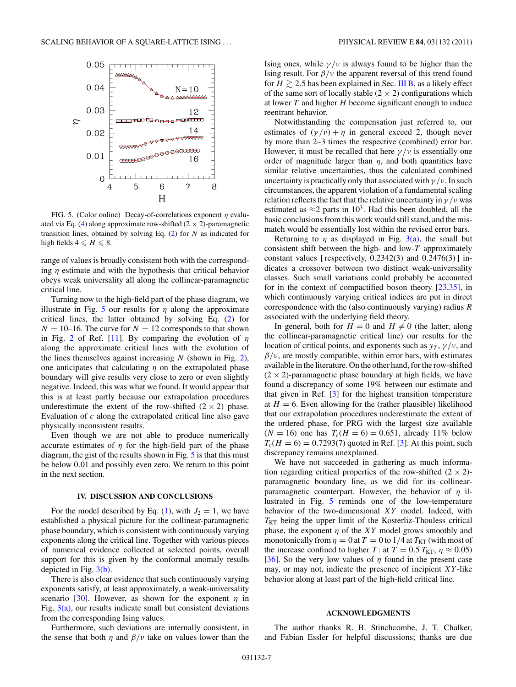<span id="page-6-0"></span>

FIG. 5. (Color online) Decay-of-correlations exponent *η* evalu-ated via Eq. [\(4\)](#page-1-0) along approximate row-shifted  $(2 \times 2)$ -paramagnetic transition lines, obtained by solving Eq. [\(2\)](#page-1-0) for *N* as indicated for high fields  $4 \leqslant H \leqslant 8$ .

range of values is broadly consistent both with the corresponding *η* estimate and with the hypothesis that critical behavior obeys weak universality all along the collinear-paramagnetic critical line.

Turning now to the high-field part of the phase diagram, we illustrate in Fig. 5 our results for  $\eta$  along the approximate critical lines, the latter obtained by solving Eq. [\(2\)](#page-1-0) for  $N = 10$ –16. The curve for  $N = 12$  corresponds to that shown in Fig. [2](#page-4-0) of Ref. [\[11\]](#page-7-0). By comparing the evolution of *η* along the approximate critical lines with the evolution of the lines themselves against increasing *N* (shown in Fig. [2\)](#page-4-0), one anticipates that calculating *η* on the extrapolated phase boundary will give results very close to zero or even slightly negative. Indeed, this was what we found. It would appear that this is at least partly because our extrapolation procedures underestimate the extent of the row-shifted  $(2 \times 2)$  phase. Evaluation of *c* along the extrapolated critical line also gave physically inconsistent results.

Even though we are not able to produce numerically accurate estimates of  $\eta$  for the high-field part of the phase diagram, the gist of the results shown in Fig. 5 is that this must be below 0*.*01 and possibly even zero. We return to this point in the next section.

## **IV. DISCUSSION AND CONCLUSIONS**

For the model described by Eq. [\(1\)](#page-0-0), with  $J_2 = 1$ , we have established a physical picture for the collinear-paramagnetic phase boundary, which is consistent with continuously varying exponents along the critical line. Together with various pieces of numerical evidence collected at selected points, overall support for this is given by the conformal anomaly results depicted in Fig. [3\(b\).](#page-5-0)

There is also clear evidence that such continuously varying exponents satisfy, at least approximately, a weak-universality scenario [\[30\]](#page-7-0). However, as shown for the exponent  $\eta$  in Fig.  $3(a)$ , our results indicate small but consistent deviations from the corresponding Ising values.

Furthermore, such deviations are internally consistent, in the sense that both  $\eta$  and  $\beta/\nu$  take on values lower than the

Ising ones, while  $\gamma/\nu$  is always found to be higher than the Ising result. For *β/ν* the apparent reversal of this trend found for  $H \ge 2.5$  has been explained in Sec. [III B,](#page-3-0) as a likely effect of the same sort of locally stable  $(2 \times 2)$  configurations which at lower *T* and higher *H* become significant enough to induce reentrant behavior.

Notwithstanding the compensation just referred to, our estimates of  $(\gamma/\nu) + \eta$  in general exceed 2, though never by more than 2–3 times the respective (combined) error bar. However, it must be recalled that here  $\gamma/\nu$  is essentially one order of magnitude larger than  $\eta$ , and both quantities have similar relative uncertainties, thus the calculated combined uncertainty is practically only that associated with *γ/ν*. In such circumstances, the apparent violation of a fundamental scaling relation reflects the fact that the relative uncertainty in  $\gamma/\nu$  was estimated as  $\approx$ 2 parts in 10<sup>3</sup>. Had this been doubled, all the basic conclusions from this work would still stand, and the mismatch would be essentially lost within the revised error bars.

Returning to  $\eta$  as displayed in Fig. [3\(a\),](#page-5-0) the small but consistent shift between the high- and low-*T* approximately constant values [ respectively, 0*.*2342(3) and 0*.*2476(3) ] indicates a crossover between two distinct weak-universality classes. Such small variations could probably be accounted for in the context of compactified boson theory  $[23,35]$ , in which continuously varying critical indices are put in direct correspondence with the (also continuously varying) radius *R* associated with the underlying field theory.

In general, both for  $H = 0$  and  $H \neq 0$  (the latter, along the collinear-paramagnetic critical line) our results for the location of critical points, and exponents such as  $y<sub>T</sub>$ ,  $\gamma/\nu$ , and  $\beta/\nu$ , are mostly compatible, within error bars, with estimates available in the literature. On the other hand, for the row-shifted  $(2 \times 2)$ -paramagnetic phase boundary at high fields, we have found a discrepancy of some 19% between our estimate and that given in Ref. [\[3\]](#page-7-0) for the highest transition temperature at  $H = 6$ . Even allowing for the (rather plausible) likelihood that our extrapolation procedures underestimate the extent of the ordered phase, for PRG with the largest size available  $(N = 16)$  one has  $T_c(H = 6) = 0.651$ , already 11% below  $T_c(H = 6) = 0.7293(7)$  quoted in Ref. [\[3\]](#page-7-0). At this point, such discrepancy remains unexplained.

We have not succeeded in gathering as much information regarding critical properties of the row-shifted  $(2 \times 2)$ paramagnetic boundary line, as we did for its collinearparamagnetic counterpart. However, the behavior of *η* illustrated in Fig. 5 reminds one of the low-temperature behavior of the two-dimensional *XY* model. Indeed, with  $T_{\text{KT}}$  being the upper limit of the Kosterliz-Thouless critical phase, the exponent  $\eta$  of the *XY* model grows smoothly and monotonically from  $\eta = 0$  at  $T = 0$  to 1/4 at  $T_{\text{KT}}$  (with most of the increase confined to higher *T*: at  $T = 0.5 T_{\text{KT}}$ ,  $\eta \approx 0.05$ ) [\[36\]](#page-7-0). So the very low values of *η* found in the present case may, or may not, indicate the presence of incipient *XY* -like behavior along at least part of the high-field critical line.

#### **ACKNOWLEDGMENTS**

The author thanks R. B. Stinchcombe, J. T. Chalker, and Fabian Essler for helpful discussions; thanks are due